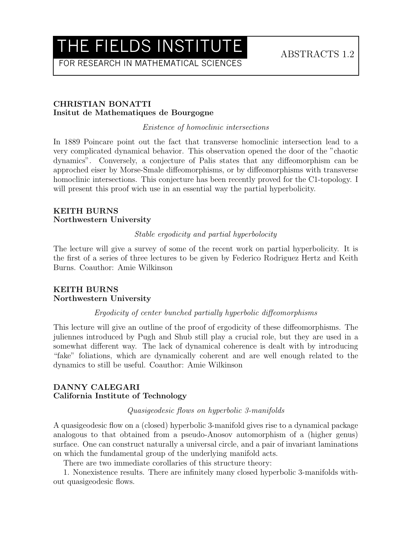## THE FIELDS INSTITUTE ABSTRACTS 1.2

FOR RESEARCH IN MATHEMATICAL SCIENCES

#### CHRISTIAN BONATTI Insitut de Mathematiques de Bourgogne

Existence of homoclinic intersections

In 1889 Poincare point out the fact that transverse homoclinic intersection lead to a very complicated dynamical behavior. This observation opened the door of the "chaotic dynamics". Conversely, a conjecture of Palis states that any diffeomorphism can be approched eiser by Morse-Smale diffeomorphisms, or by diffeomorphisms with transverse homoclinic intersections. This conjecture has been recently proved for the C1-topology. I will present this proof wich use in an essential way the partial hyperbolicity.

### KEITH BURNS Northwestern University

Stable ergodicity and partial hyperbolocity

The lecture will give a survey of some of the recent work on partial hyperbolicity. It is the first of a series of three lectures to be given by Federico Rodriguez Hertz and Keith Burns. Coauthor: Amie Wilkinson

## KEITH BURNS Northwestern University

## Ergodicity of center bunched partially hyperbolic diffeomorphisms

This lecture will give an outline of the proof of ergodicity of these diffeomorphisms. The juliennes introduced by Pugh and Shub still play a crucial role, but they are used in a somewhat different way. The lack of dynamical coherence is dealt with by introducing "fake" foliations, which are dynamically coherent and are well enough related to the dynamics to still be useful. Coauthor: Amie Wilkinson

#### DANNY CALEGARI California Institute of Technology

#### Quasigeodesic flows on hyperbolic 3-manifolds

A quasigeodesic flow on a (closed) hyperbolic 3-manifold gives rise to a dynamical package analogous to that obtained from a pseudo-Anosov automorphism of a (higher genus) surface. One can construct naturally a universal circle, and a pair of invariant laminations on which the fundamental group of the underlying manifold acts.

There are two immediate corollaries of this structure theory:

1. Nonexistence results. There are infinitely many closed hyperbolic 3-manifolds without quasigeodesic flows.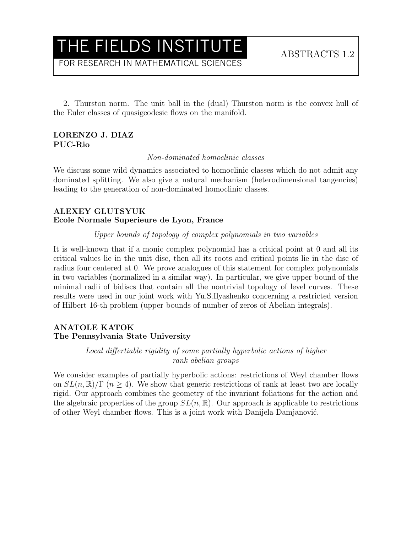## THE FIELDS INSTITUTE ABSTRACTS 1.2

FOR RESEARCH IN MATHEMATICAL SCIENCES

2. Thurston norm. The unit ball in the (dual) Thurston norm is the convex hull of the Euler classes of quasigeodesic flows on the manifold.

## LORENZO J. DIAZ PUC-Rio

Non-dominated homoclinic classes

We discuss some wild dynamics associated to homoclinic classes which do not admit any dominated splitting. We also give a natural mechanism (heterodimensional tangencies) leading to the generation of non-dominated homoclinic classes.

## ALEXEY GLUTSYUK Ecole Normale Superieure de Lyon, France

#### Upper bounds of topology of complex polynomials in two variables

It is well-known that if a monic complex polynomial has a critical point at 0 and all its critical values lie in the unit disc, then all its roots and critical points lie in the disc of radius four centered at 0. We prove analogues of this statement for complex polynomials in two variables (normalized in a similar way). In particular, we give upper bound of the minimal radii of bidiscs that contain all the nontrivial topology of level curves. These results were used in our joint work with Yu.S.Ilyashenko concerning a restricted version of Hilbert 16-th problem (upper bounds of number of zeros of Abelian integrals).

## ANATOLE KATOK The Pennsylvania State University

Local differtiable rigidity of some partially hyperbolic actions of higher rank abelian groups

We consider examples of partially hyperbolic actions: restrictions of Weyl chamber flows on  $SL(n,\mathbb{R})/\Gamma$  ( $n \geq 4$ ). We show that generic restrictions of rank at least two are locally rigid. Our approach combines the geometry of the invariant foliations for the action and the algebraic properties of the group  $SL(n, \mathbb{R})$ . Our approach is applicable to restrictions of other Weyl chamber flows. This is a joint work with Danijela Damjanović.